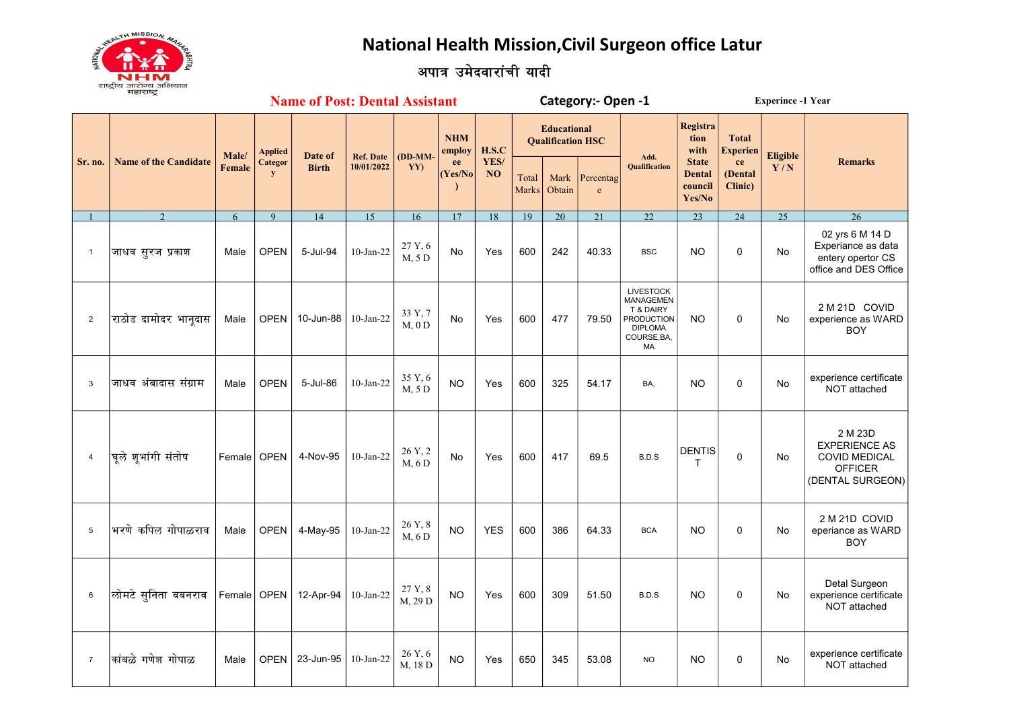National Health Mission, Civil Surgeon office Latur



## अपात्र उमेदवारांची यादी

|                | <b>Name of Post: Dental Assistant</b> |                 |                      |              |                                |                      |                      |                   |                                                |                | Category:- Open -1        |                                                                                                        | <b>Experince -1 Year</b>                           |                                 |                 |                                                                                               |
|----------------|---------------------------------------|-----------------|----------------------|--------------|--------------------------------|----------------------|----------------------|-------------------|------------------------------------------------|----------------|---------------------------|--------------------------------------------------------------------------------------------------------|----------------------------------------------------|---------------------------------|-----------------|-----------------------------------------------------------------------------------------------|
|                | <b>Name of the Candidate</b>          | Male/<br>Female | <b>Applied</b>       | Date of      | <b>Ref. Date</b><br>10/01/2022 | $(DD-MM)$            | <b>NHM</b><br>employ | H.S.C             | <b>Educational</b><br><b>Qualification HSC</b> |                |                           | Add.                                                                                                   | <b>Registra</b><br>tion<br>with                    | <b>Total</b><br><b>Experien</b> | <b>Eligible</b> |                                                                                               |
| Sr. no.        |                                       |                 | Categor<br>${\bf y}$ | <b>Birth</b> |                                | YY)                  | ee<br>(Yes/No)       | YES/<br><b>NO</b> | Total<br>Marks                                 | Mark<br>Obtain | Percentag<br>$\mathbf{e}$ | <b>Qualification</b>                                                                                   | <b>State</b><br><b>Dental</b><br>council<br>Yes/No | ce<br>(Dental<br>Clinic)        | Y/N             | <b>Remarks</b>                                                                                |
|                | $\mathcal{D}$                         | 6               | 9                    | 14           | 15                             | 16                   | 17                   | 18                | 19                                             | 20             | 21                        | 22                                                                                                     | 23                                                 | 24                              | 25              | $\overline{26}$                                                                               |
| $\mathbf{1}$   | जाधव सुरज प्रकाश                      | Male            | <b>OPEN</b>          | 5-Jul-94     | $10$ -Jan-22                   | 27 Y, 6<br>M, 5 D    | <b>No</b>            | Yes               | 600                                            | 242            | 40.33                     | <b>BSC</b>                                                                                             | <b>NO</b>                                          | $\mathbf 0$                     | <b>No</b>       | 02 yrs 6 M 14 D<br>Experiance as data<br>entery opertor CS<br>office and DES Office           |
| $\overline{c}$ | राठोड दामोदर भानूदास                  | Male            | <b>OPEN</b>          | 10-Jun-88    | $10$ -Jan-22                   | 33 Y, 7<br>$M$ , 0 D | No                   | Yes               | 600                                            | 477            | 79.50                     | <b>LIVESTOCK</b><br>MANAGEMEN<br>T & DAIRY<br><b>PRODUCTION</b><br><b>DIPLOMA</b><br>COURSE, BA,<br>MA | <b>NO</b>                                          | $\mathbf 0$                     | No              | 2 M 21D COVID<br>experience as WARD<br><b>BOY</b>                                             |
| 3              | जाधव अंबादास संग्राम                  | Male            | <b>OPEN</b>          | 5-Jul-86     | $10$ -Jan-22                   | 35 Y, 6<br>M, 5 D    | <b>NO</b>            | Yes               | 600                                            | 325            | 54.17                     | BA,                                                                                                    | <b>NO</b>                                          | $\Omega$                        | No              | experience certificate<br>NOT attached                                                        |
| $\overline{4}$ | घूले शूभांगी संतोष                    | Female   OPEN   |                      | 4-Nov-95     | $10-Jan-22$                    | 26 Y, 2<br>M, 6D     | <b>No</b>            | Yes               | 600                                            | 417            | 69.5                      | B.D.S                                                                                                  | <b>DENTIS</b><br>т                                 | $\Omega$                        | No              | 2 M 23D<br><b>EXPERIENCE AS</b><br><b>COVID MEDICAL</b><br><b>OFFICER</b><br>(DENTAL SURGEON) |
| 5              | भरणे कपिल गोपाळराव                    | Male            | <b>OPEN</b>          | 4-May-95     | $10$ -Jan-22                   | 26 Y, 8<br>M, 6 D    | <b>NO</b>            | <b>YES</b>        | 600                                            | 386            | 64.33                     | <b>BCA</b>                                                                                             | <b>NO</b>                                          | $\mathbf{0}$                    | No              | 2 M 21D COVID<br>eperiance as WARD<br><b>BOY</b>                                              |
| 6              | लोमटे सुनिता बबनराव                   | Female   OPEN   |                      | 12-Apr-94    | $10$ -Jan-22                   | 27 Y, 8<br>M, 29 D   | <b>NO</b>            | Yes               | 600                                            | 309            | 51.50                     | B.D.S                                                                                                  | <b>NO</b>                                          | $\mathbf 0$                     | No              | Detal Surgeon<br>experience certificate<br>NOT attached                                       |
| $\overline{7}$ | कांबळे गणेश गोपाळ                     | Male            | OPEN                 | 23-Jun-95    | $10$ -Jan-22                   | 26 Y, 6<br>M, 18 D   | <b>NO</b>            | Yes               | 650                                            | 345            | 53.08                     | <b>NO</b>                                                                                              | <b>NO</b>                                          | $\mathbf 0$                     | No              | experience certificate<br>NOT attached                                                        |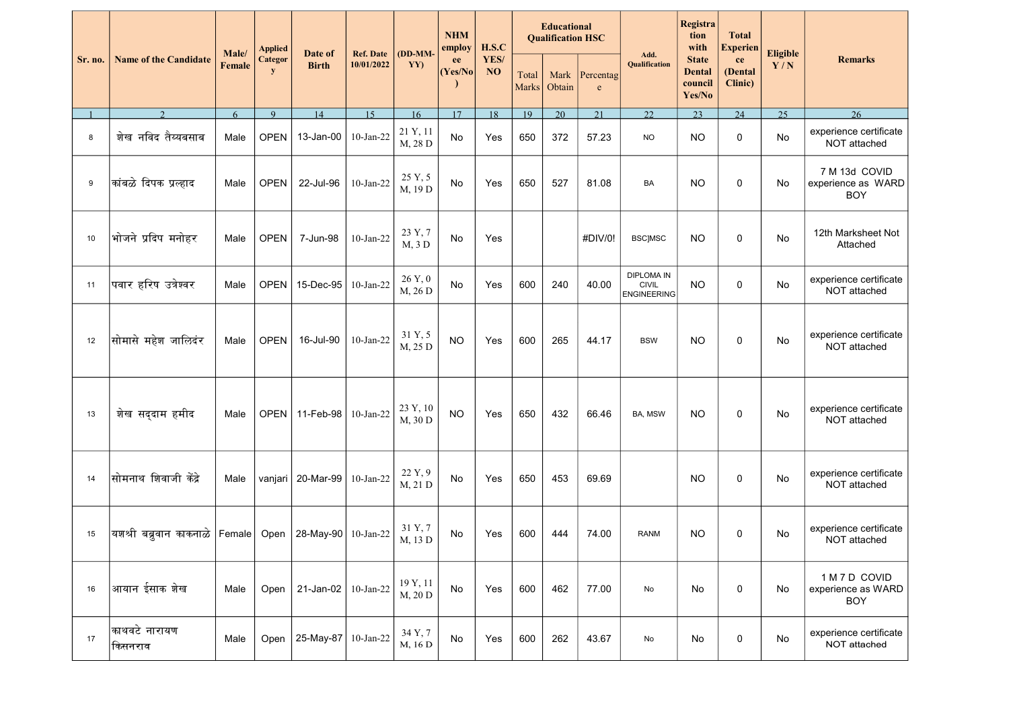|         | <b>Name of the Candidate</b>    | Male/  | Applied<br><b>Categor</b><br>y | Date of<br><b>Birth</b> | <b>Ref. Date</b><br>10/01/2022 | $(DD-MM-$<br>YY)              | <b>NHM</b><br>employ<br>ee<br>(Yes/No) | H.S.C      |                       | <b>Educational</b><br><b>Qualification HSC</b> |                          | Registra<br>tion<br>with<br>Add.                        |                                                    | <b>Total</b><br><b>Experien</b> | Eligible        |                                                   |
|---------|---------------------------------|--------|--------------------------------|-------------------------|--------------------------------|-------------------------------|----------------------------------------|------------|-----------------------|------------------------------------------------|--------------------------|---------------------------------------------------------|----------------------------------------------------|---------------------------------|-----------------|---------------------------------------------------|
| Sr. no. |                                 | Female |                                |                         |                                |                               |                                        | YES/<br>NO | Total<br><b>Marks</b> | Mark<br>Obtain                                 | Percentag<br>$\mathbf e$ | <b>Qualification</b>                                    | <b>State</b><br><b>Dental</b><br>council<br>Yes/No | ce<br>(Dental<br>Clinic)        | Y/N             | <b>Remarks</b>                                    |
|         | $\mathcal{D}$                   | 6      | 9                              | 14                      | 15                             | 16                            | 17                                     | 18         | 19                    | 20                                             | 21                       | 22                                                      | 23                                                 | 24                              | $\overline{25}$ | 26                                                |
| 8       | शेख नविद तैय्यबसाब              | Male   | <b>OPEN</b>                    | 13-Jan-00               | $10$ -Jan-22                   | 21 Y, 11<br>M, 28 D           | No                                     | Yes        | 650                   | 372                                            | 57.23                    | <b>NO</b>                                               | <b>NO</b>                                          | 0                               | No              | experience certificate<br>NOT attached            |
| 9       | कांबळे दिपक प्रल्हाद            | Male   | <b>OPEN</b>                    | 22-Jul-96               | $10$ -Jan-22                   | 25 Y, 5<br>M, 19 D            | No                                     | Yes        | 650                   | 527                                            | 81.08                    | BA                                                      | <b>NO</b>                                          | 0                               | No              | 7 M 13d COVID<br>experience as WARD<br><b>BOY</b> |
| 10      | भोजने प्रदिप मनोहर              | Male   | <b>OPEN</b>                    | 7-Jun-98                | $10$ -Jan-22                   | 23 Y, 7<br>M, 3 D             | No                                     | Yes        |                       |                                                | #DIV/0!                  | <b>BSCJMSC</b>                                          | <b>NO</b>                                          | $\mathbf 0$                     | No              | 12th Marksheet Not<br>Attached                    |
| 11      | पवार हरिष उत्रेश्वर             | Male   | <b>OPEN</b>                    | 15-Dec-95               | $10$ -Jan-22                   | $26~\mathrm{Y}, 0$<br>M, 26 D | No                                     | Yes        | 600                   | 240                                            | 40.00                    | <b>DIPLOMA IN</b><br><b>CIVIL</b><br><b>ENGINEERING</b> | <b>NO</b>                                          | 0                               | No              | experience certificate<br>NOT attached            |
| 12      | सोमासे महेश जालिदंर             | Male   | <b>OPEN</b>                    | 16-Jul-90               | $10$ -Jan-22                   | 31 Y, 5<br>M, 25 D            | <b>NO</b>                              | Yes        | 600                   | 265                                            | 44.17                    | <b>BSW</b>                                              | <b>NO</b>                                          | 0                               | No              | experience certificate<br>NOT attached            |
| 13      | शेख सद्दाम हमीद                 | Male   | <b>OPEN</b>                    | 11-Feb-98               | $10$ -Jan-22                   | 23 Y, 10<br>M, 30 D           | <b>NO</b>                              | Yes        | 650                   | 432                                            | 66.46                    | BA, MSW                                                 | <b>NO</b>                                          | 0                               | No              | experience certificate<br>NOT attached            |
| 14      | सोमनाथ शिवाजी केंद्रे           | Male   | vanjari                        | 20-Mar-99               | $10$ -Jan-22                   | 22 Y, 9<br>M, 21 D            | No                                     | Yes        | 650                   | 453                                            | 69.69                    |                                                         | <b>NO</b>                                          | 0                               | No              | experience certificate<br>NOT attached            |
| 15      | यशश्री बब्रुवान काकनाळे  Female |        | Open                           | 28-May-90               | $10$ -Jan-22                   | 31 Y, 7<br>M, 13 D            | No                                     | Yes        | 600                   | 444                                            | 74.00                    | <b>RANM</b>                                             | <b>NO</b>                                          | $\mathbf 0$                     | No              | experience certificate<br>NOT attached            |
| 16      | आयान ईसाक शेख                   | Male   | Open                           | 21-Jan-02               | $10$ -Jan-22                   | 19 Y, 11<br>M, 20 D           | No                                     | Yes        | 600                   | 462                                            | 77.00                    | No                                                      | No                                                 | $\mathbf 0$                     | No              | 1 M 7 D COVID<br>experience as WARD<br><b>BOY</b> |
| 17      | काथवटे नारायण<br>किसनराव        | Male   | Open                           | 25-May-87               | $10$ -Jan-22                   | 34 Y, 7<br>M, 16 D            | No                                     | Yes        | 600                   | 262                                            | 43.67                    | No                                                      | No                                                 | 0                               | No              | experience certificate<br>NOT attached            |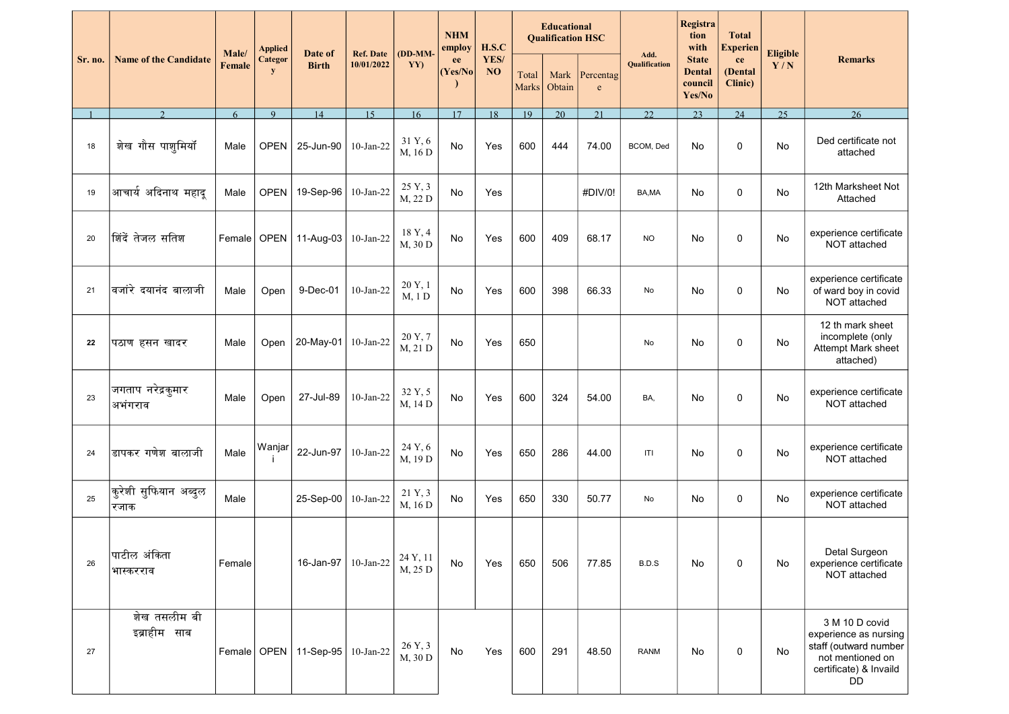|         | <b>Name of the Candidate</b>          | Male/         | <b>Applied</b><br><b>Categor</b><br>y | Date of<br><b>Birth</b>   | <b>Ref. Date</b><br>10/01/2022 | (DD-MM-<br>YY)      | <b>NHM</b><br>employ<br>ee<br>(Yes/No) | H.S.C<br>YES/<br><b>NO</b> | <b>Educational</b><br><b>Qualification HSC</b> |                |                           | Registra<br>tion<br>with<br>Add. |                                                    | <b>Total</b><br><b>Experien</b> | <b>Eligible</b> |                                                                                                                      |
|---------|---------------------------------------|---------------|---------------------------------------|---------------------------|--------------------------------|---------------------|----------------------------------------|----------------------------|------------------------------------------------|----------------|---------------------------|----------------------------------|----------------------------------------------------|---------------------------------|-----------------|----------------------------------------------------------------------------------------------------------------------|
| Sr. no. |                                       | <b>Female</b> |                                       |                           |                                |                     |                                        |                            | Total<br><b>Marks</b>                          | Mark<br>Obtain | Percentag<br>$\mathbf{e}$ | Qualification                    | <b>State</b><br><b>Dental</b><br>council<br>Yes/No | ce<br>(Dental<br>Clinic)        | Y/N             | <b>Remarks</b>                                                                                                       |
|         | $\mathcal{D}$                         | 6             | $\mathbf{Q}$                          | 14                        | 15                             | 16                  | 17                                     | 18                         | 19                                             | 20             | 21                        | 22.                              | 23                                                 | 24                              | 25              | 26                                                                                                                   |
| 18      | शेख गौस पाशूमियॉ                      | Male          | <b>OPEN</b>                           | 25-Jun-90                 | $10-Jan-22$                    | 31 Y, 6<br>M, 16 D  | No                                     | Yes                        | 600                                            | 444            | 74.00                     | BCOM, Ded                        | No                                                 | $\mathbf 0$                     | No              | Ded certificate not<br>attached                                                                                      |
| 19      | आचार्य अदिनाथ महादू                   | Male          | <b>OPEN</b>                           | 19-Sep-96                 | $10$ -Jan-22                   | 25 Y, 3<br>M, 22 D  | <b>No</b>                              | Yes                        |                                                |                | #DIV/0!                   | BA,MA                            | No                                                 | 0                               | No              | 12th Marksheet Not<br>Attached                                                                                       |
| 20      | <i>।</i> शिंदें तेजल सतिश             | Female        | <b>OPEN</b>                           | 11-Aug-03                 | 10-Jan-22                      | 18 Y, 4<br>M, 30 D  | <b>No</b>                              | Yes                        | 600                                            | 409            | 68.17                     | <b>NO</b>                        | No                                                 | $\mathbf 0$                     | No              | experience certificate<br>NOT attached                                                                               |
| 21      | वजांरे दयानंद बालाजी                  | Male          | Open                                  | 9-Dec-01                  | 10-Jan-22                      | 20 Y, 1<br>M, 1 D   | No                                     | Yes                        | 600                                            | 398            | 66.33                     | No                               | No                                                 | $\mathbf 0$                     | No              | experience certificate<br>of ward boy in covid<br>NOT attached                                                       |
| 22      | पठाण हसन खादर                         | Male          | Open                                  | 20-May-01                 | $10-Jan-22$                    | 20 Y, 7<br>M, 21 D  | No                                     | Yes                        | 650                                            |                |                           | No                               | No                                                 | $\mathbf 0$                     | No              | 12 th mark sheet<br>incomplete (only<br>Attempt Mark sheet<br>attached)                                              |
| 23      | जगताप नरेद्रकुमार<br>अभंगराव          | Male          | Open                                  | 27-Jul-89                 | 10-Jan-22                      | 32 Y, 5<br>M, 14 D  | No                                     | Yes                        | 600                                            | 324            | 54.00                     | BA,                              | No                                                 | 0                               | No              | experience certificate<br>NOT attached                                                                               |
| 24      | डापकर गणेश बालाजी                     | Male          | Wanjar                                | 22-Jun-97                 | $10$ -Jan-22                   | 24 Y, 6<br>M, 19 D  | No                                     | Yes                        | 650                                            | 286            | 44.00                     | T                                | No                                                 | 0                               | No              | experience certificate<br>NOT attached                                                                               |
| 25      | कुरेशी सुफियान अब्दु <b>ल</b><br>रजाक | Male          |                                       | 25-Sep-00                 | $10-Jan-22$                    | 21 Y, 3<br>M, 16 D  | No                                     | Yes                        | 650                                            | 330            | 50.77                     | No                               | No                                                 | $\mathbf 0$                     | No              | experience certificate<br>NOT attached                                                                               |
| 26      | पाटील अंकिता<br>भास्करराव             | Female        |                                       | 16-Jan-97                 | $10$ -Jan-22                   | 24 Y, 11<br>M, 25 D | No                                     | Yes                        | 650                                            | 506            | 77.85                     | B.D.S                            | No                                                 | 0                               | No              | Detal Surgeon<br>experience certificate<br>NOT attached                                                              |
| 27      | शेख तसलीम बी<br>इब्राहीम साब          |               |                                       | Female   OPEN   11-Sep-95 | $10$ -Jan-22                   | 26 Y, 3<br>M, 30 D  | No                                     | Yes                        | 600                                            | 291            | 48.50                     | <b>RANM</b>                      | No                                                 | $\mathbf 0$                     | No              | 3 M 10 D covid<br>experience as nursing<br>staff (outward number<br>not mentioned on<br>certificate) & Invaild<br>DD |